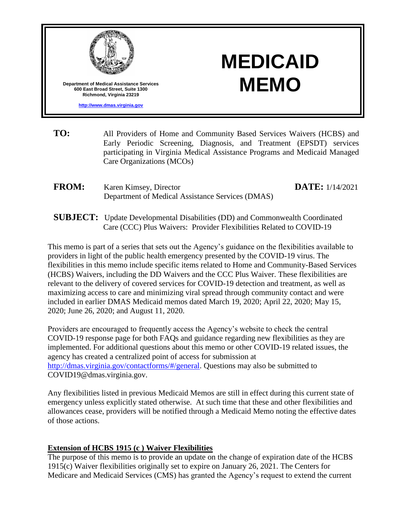

# **MEDICAID MEMO**

- **TO:** All Providers of Home and Community Based Services Waivers (HCBS) and Early Periodic Screening, Diagnosis, and Treatment (EPSDT) services participating in Virginia Medical Assistance Programs and Medicaid Managed Care Organizations (MCOs)
- **FROM:** Karen Kimsey, Director Department of Medical Assistance Services (DMAS) **DATE:** 1/14/2021
- **SUBJECT:** Update Developmental Disabilities (DD) and Commonwealth Coordinated Care (CCC) Plus Waivers:Provider Flexibilities Related to COVID-19

This memo is part of a series that sets out the Agency's guidance on the flexibilities available to providers in light of the public health emergency presented by the COVID-19 virus. The flexibilities in this memo include specific items related to Home and Community-Based Services (HCBS) Waivers, including the DD Waivers and the CCC Plus Waiver. These flexibilities are relevant to the delivery of covered services for COVID-19 detection and treatment, as well as maximizing access to care and minimizing viral spread through community contact and were included in earlier DMAS Medicaid memos dated March 19, 2020; April 22, 2020; May 15, 2020; June 26, 2020; and August 11, 2020.

Providers are encouraged to frequently access the Agency's website to check the central COVID-19 response page for both FAQs and guidance regarding new flexibilities as they are implemented. For additional questions about this memo or other COVID-19 related issues, the agency has created a centralized point of access for submission at [http://dmas.virginia.gov/contactforms/#/general.](http://dmas.virginia.gov/contactforms/#/general) Questions may also be submitted to COVID19@dmas.virginia.gov.

Any flexibilities listed in previous Medicaid Memos are still in effect during this current state of emergency unless explicitly stated otherwise. At such time that these and other flexibilities and allowances cease, providers will be notified through a Medicaid Memo noting the effective dates of those actions.

#### **Extension of HCBS 1915 (c ) Waiver Flexibilities**

The purpose of this memo is to provide an update on the change of expiration date of the HCBS 1915(c) Waiver flexibilities originally set to expire on January 26, 2021. The Centers for Medicare and Medicaid Services (CMS) has granted the Agency's request to extend the current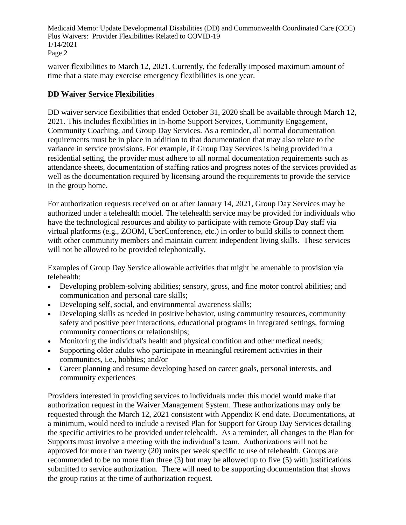Medicaid Memo: Update Developmental Disabilities (DD) and Commonwealth Coordinated Care (CCC) Plus Waivers:Provider Flexibilities Related to COVID-19 1/14/2021 Page 2

waiver flexibilities to March 12, 2021. Currently, the federally imposed maximum amount of time that a state may exercise emergency flexibilities is one year.

## **DD Waiver Service Flexibilities**

DD waiver service flexibilities that ended October 31, 2020 shall be available through March 12, 2021. This includes flexibilities in In-home Support Services, Community Engagement, Community Coaching, and Group Day Services. As a reminder, all normal documentation requirements must be in place in addition to that documentation that may also relate to the variance in service provisions. For example, if Group Day Services is being provided in a residential setting, the provider must adhere to all normal documentation requirements such as attendance sheets, documentation of staffing ratios and progress notes of the services provided as well as the documentation required by licensing around the requirements to provide the service in the group home.

For authorization requests received on or after January 14, 2021, Group Day Services may be authorized under a telehealth model. The telehealth service may be provided for individuals who have the technological resources and ability to participate with remote Group Day staff via virtual platforms (e.g., ZOOM, UberConference, etc.) in order to build skills to connect them with other community members and maintain current independent living skills. These services will not be allowed to be provided telephonically.

Examples of Group Day Service allowable activities that might be amenable to provision via telehealth:

- Developing problem-solving abilities; sensory, gross, and fine motor control abilities; and communication and personal care skills;
- Developing self, social, and environmental awareness skills;
- Developing skills as needed in positive behavior, using community resources, community safety and positive peer interactions, educational programs in integrated settings, forming community connections or relationships;
- Monitoring the individual's health and physical condition and other medical needs;
- Supporting older adults who participate in meaningful retirement activities in their communities, i.e., hobbies; and/or
- Career planning and resume developing based on career goals, personal interests, and community experiences

Providers interested in providing services to individuals under this model would make that authorization request in the Waiver Management System. These authorizations may only be requested through the March 12, 2021 consistent with Appendix K end date. Documentations, at a minimum, would need to include a revised Plan for Support for Group Day Services detailing the specific activities to be provided under telehealth. As a reminder, all changes to the Plan for Supports must involve a meeting with the individual's team. Authorizations will not be approved for more than twenty (20) units per week specific to use of telehealth. Groups are recommended to be no more than three (3) but may be allowed up to five (5) with justifications submitted to service authorization. There will need to be supporting documentation that shows the group ratios at the time of authorization request.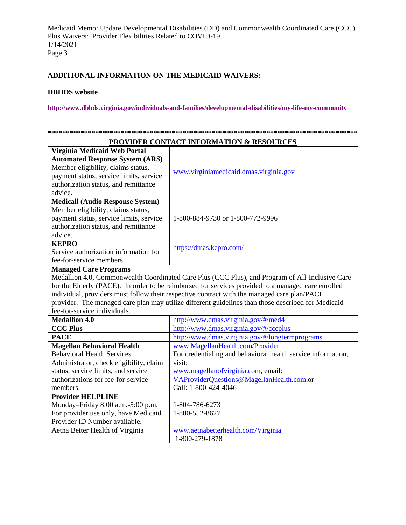Medicaid Memo: Update Developmental Disabilities (DD) and Commonwealth Coordinated Care (CCC) Plus Waivers:Provider Flexibilities Related to COVID-19 1/14/2021 Page 3

## **ADDITIONAL INFORMATION ON THE MEDICAID WAIVERS:**

### **DBHDS website**

**<http://www.dbhds.virginia.gov/individuals-and-families/developmental-disabilities/my-life-my-community>**

| *************************************                                                              |                                                                                                    |  |
|----------------------------------------------------------------------------------------------------|----------------------------------------------------------------------------------------------------|--|
| <b>PROVIDER CONTACT INFORMATION &amp; RESOURCES</b>                                                |                                                                                                    |  |
| Virginia Medicaid Web Portal                                                                       |                                                                                                    |  |
| <b>Automated Response System (ARS)</b>                                                             |                                                                                                    |  |
| Member eligibility, claims status,                                                                 | www.virginiamedicaid.dmas.virginia.gov                                                             |  |
| payment status, service limits, service                                                            |                                                                                                    |  |
| authorization status, and remittance                                                               |                                                                                                    |  |
| advice.                                                                                            |                                                                                                    |  |
| <b>Medicall (Audio Response System)</b>                                                            |                                                                                                    |  |
| Member eligibility, claims status,                                                                 |                                                                                                    |  |
| payment status, service limits, service                                                            | 1-800-884-9730 or 1-800-772-9996                                                                   |  |
| authorization status, and remittance                                                               |                                                                                                    |  |
| advice.                                                                                            |                                                                                                    |  |
| <b>KEPRO</b>                                                                                       | https://dmas.kepro.com/                                                                            |  |
| Service authorization information for                                                              |                                                                                                    |  |
| fee-for-service members.                                                                           |                                                                                                    |  |
| <b>Managed Care Programs</b>                                                                       |                                                                                                    |  |
| Medallion 4.0, Commonwealth Coordinated Care Plus (CCC Plus), and Program of All-Inclusive Care    |                                                                                                    |  |
| for the Elderly (PACE). In order to be reimbursed for services provided to a managed care enrolled |                                                                                                    |  |
| individual, providers must follow their respective contract with the managed care plan/PACE        |                                                                                                    |  |
|                                                                                                    | provider. The managed care plan may utilize different guidelines than those described for Medicaid |  |
| fee-for-service individuals.                                                                       |                                                                                                    |  |
| <b>Medallion 4.0</b>                                                                               | http://www.dmas.virginia.gov/#/med4                                                                |  |
| <b>CCC Plus</b>                                                                                    | http://www.dmas.virginia.gov/#/cccplus                                                             |  |
| <b>PACE</b>                                                                                        | http://www.dmas.virginia.gov/#/longtermprograms                                                    |  |
| <b>Magellan Behavioral Health</b>                                                                  | www.MagellanHealth.com/Provider                                                                    |  |
| <b>Behavioral Health Services</b>                                                                  | For credentialing and behavioral health service information,                                       |  |
| Administrator, check eligibility, claim                                                            | visit:                                                                                             |  |
| status, service limits, and service<br>authorizations for fee-for-service                          | www.magellanofvirginia.com, email:                                                                 |  |
| members.                                                                                           | VAProviderQuestions@MagellanHealth.com,or<br>Call: 1-800-424-4046                                  |  |
| <b>Provider HELPLINE</b>                                                                           |                                                                                                    |  |
| Monday-Friday 8:00 a.m.-5:00 p.m.                                                                  | 1-804-786-6273                                                                                     |  |
| For provider use only, have Medicaid                                                               | 1-800-552-8627                                                                                     |  |
| Provider ID Number available.                                                                      |                                                                                                    |  |
| Aetna Better Health of Virginia                                                                    | www.aetnabetterhealth.com/Virginia                                                                 |  |
|                                                                                                    | 1-800-279-1878                                                                                     |  |
|                                                                                                    |                                                                                                    |  |